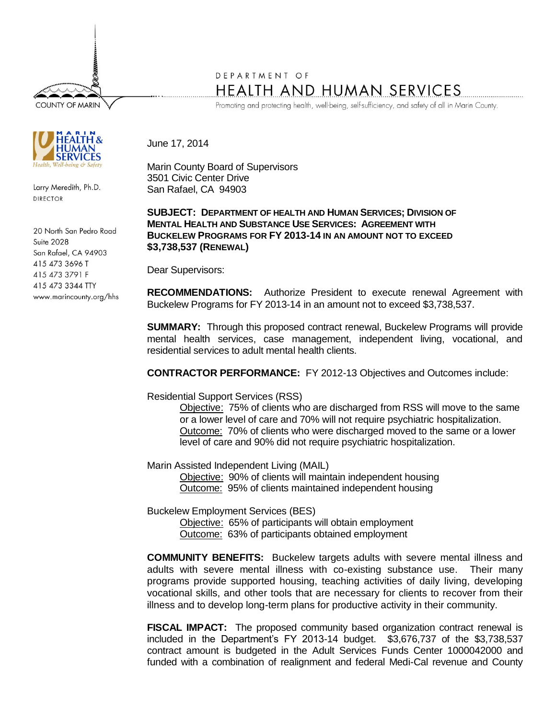**COUNTY OF MARIN** 



Larry Meredith, Ph.D. **DIRECTOR** 

20 North San Pedro Road **Suite 2028** San Rafael, CA 94903 415 473 3696 T 415 473 3791 F 415 473 3344 TTY www.marincounty.org/hhs

## DEPARTMENT OF **HEALTH AND HUMAN SERVICES**

Promoting and protecting health, well-being, self-sufficiency, and safety of all in Marin County.

## June 17, 2014

Marin County Board of Supervisors 3501 Civic Center Drive San Rafael, CA 94903

## **SUBJECT: DEPARTMENT OF HEALTH AND HUMAN SERVICES; DIVISION OF MENTAL HEALTH AND SUBSTANCE USE SERVICES: AGREEMENT WITH BUCKELEW PROGRAMS FOR FY 2013-14 IN AN AMOUNT NOT TO EXCEED \$3,738,537 (RENEWAL)**

Dear Supervisors:

**RECOMMENDATIONS:** Authorize President to execute renewal Agreement with Buckelew Programs for FY 2013-14 in an amount not to exceed \$3,738,537.

**SUMMARY:** Through this proposed contract renewal, Buckelew Programs will provide mental health services, case management, independent living, vocational, and residential services to adult mental health clients.

**CONTRACTOR PERFORMANCE:** FY 2012-13 Objectives and Outcomes include:

Residential Support Services (RSS)

Objective: 75% of clients who are discharged from RSS will move to the same or a lower level of care and 70% will not require psychiatric hospitalization. Outcome: 70% of clients who were discharged moved to the same or a lower level of care and 90% did not require psychiatric hospitalization.

Marin Assisted Independent Living (MAIL)

Objective: 90% of clients will maintain independent housing Outcome: 95% of clients maintained independent housing

Buckelew Employment Services (BES)

Objective: 65% of participants will obtain employment Outcome: 63% of participants obtained employment

**COMMUNITY BENEFITS:** Buckelew targets adults with severe mental illness and adults with severe mental illness with co-existing substance use. Their many programs provide supported housing, teaching activities of daily living, developing vocational skills, and other tools that are necessary for clients to recover from their illness and to develop long-term plans for productive activity in their community.

**FISCAL IMPACT:** The proposed community based organization contract renewal is included in the Department's FY 2013-14 budget. \$3,676,737 of the \$3,738,537 contract amount is budgeted in the Adult Services Funds Center 1000042000 and funded with a combination of realignment and federal Medi-Cal revenue and County